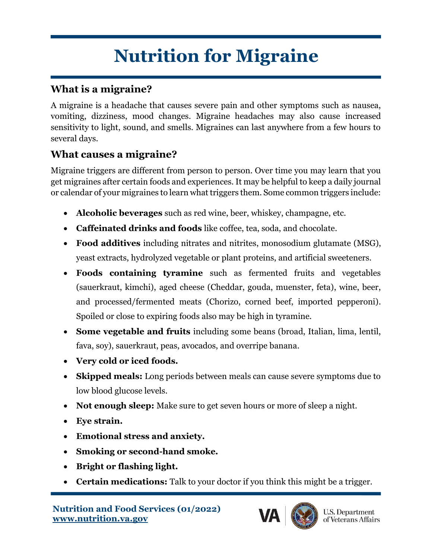## **Nutrition for Migraine**

## **What is a migraine?**

A migraine is a headache that causes severe pain and other symptoms such as nausea, vomiting, dizziness, mood changes. Migraine headaches may also cause increased sensitivity to light, sound, and smells. Migraines can last anywhere from a few hours to several days.

## **What causes a migraine?**

Migraine triggers are different from person to person. Over time you may learn that you get migraines after certain foods and experiences. It may be helpful to keep a daily journal or calendar of your migraines to learn what triggers them. Some common triggers include:

- **Alcoholic beverages** such as red wine, beer, whiskey, champagne, etc.
- **Caffeinated drinks and foods** like coffee, tea, soda, and chocolate.
- **Food additives** including nitrates and nitrites, monosodium glutamate (MSG), yeast extracts, hydrolyzed vegetable or plant proteins, and artificial sweeteners.
- **Foods containing tyramine** such as fermented fruits and vegetables (sauerkraut, kimchi), aged cheese (Cheddar, gouda, muenster, feta), wine, beer, and processed/fermented meats (Chorizo, corned beef, imported pepperoni). Spoiled or close to expiring foods also may be high in tyramine.
- **Some vegetable and fruits** including some beans (broad, Italian, lima, lentil, fava, soy), sauerkraut, peas, avocados, and overripe banana.
- **Very cold or iced foods.**
- **Skipped meals:** Long periods between meals can cause severe symptoms due to low blood glucose levels.
- **Not enough sleep:** Make sure to get seven hours or more of sleep a night.
- **Eye strain.**
- **Emotional stress and anxiety.**
- **Smoking or second-hand smoke.**
- **Bright or flashing light.**
- **Certain medications:** Talk to your doctor if you think this might be a trigger.